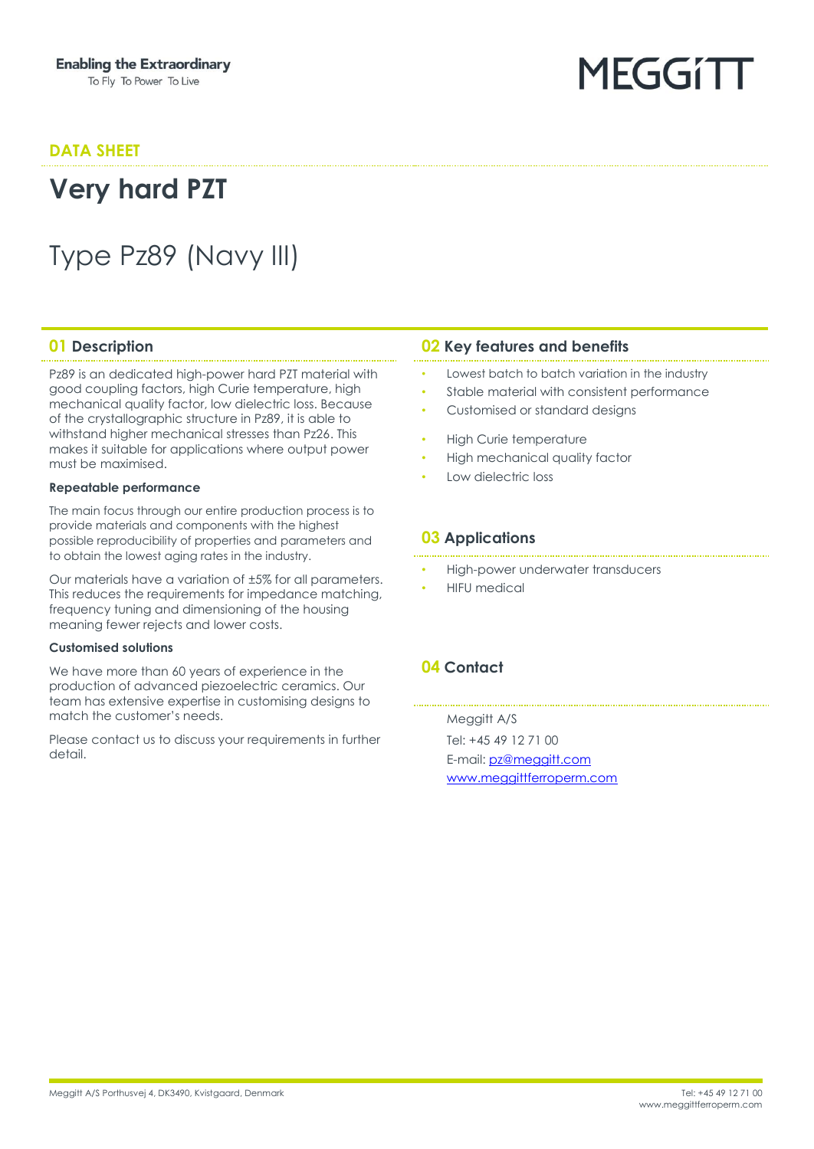#### **DATA SHEET**

## **Very hard PZT**

## Type Pz89 (Navy III)

Pz89 is an dedicated high-power hard PZT material with good coupling factors, high Curie temperature, high mechanical quality factor, low dielectric loss. Because of the crystallographic structure in Pz89, it is able to withstand higher mechanical stresses than Pz26. This makes it suitable for applications where output power must be maximised.

#### **Repeatable performance**

The main focus through our entire production process is to provide materials and components with the highest possible reproducibility of properties and parameters and to obtain the lowest aging rates in the industry.

Our materials have a variation of ±5% for all parameters. This reduces the requirements for impedance matching, frequency tuning and dimensioning of the housing meaning fewer rejects and lower costs.

#### **Customised solutions**

We have more than 60 years of experience in the production of advanced piezoelectric ceramics. Our team has extensive expertise in customising designs to match the customer's needs.

Please contact us to discuss your requirements in further detail.

#### **01 Description 02 Key features and benefits**

• Lowest batch to batch variation in the industry

MEGGIT

- Stable material with consistent performance
- Customised or standard designs
- High Curie temperature
- High mechanical quality factor
- Low dielectric loss

#### **03 Applications**

- High-power underwater transducers
- **HIFU** medical

#### **04 Contact**

Meggitt A/S Tel: +45 49 12 71 00 E-mail: [pz@meggitt.com](mailto:pz@meggitt.com) [www.meggittferroperm.com](http://www.meggittferroperm.com/)